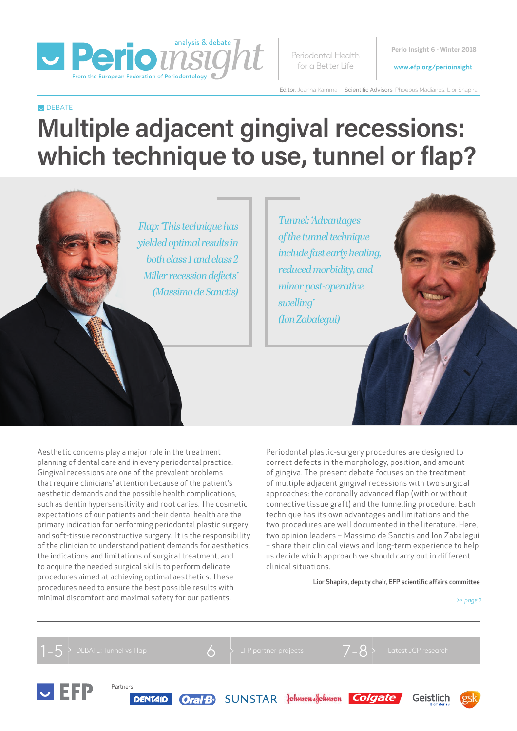

Periodontal Health for a Better Life

**Perio Insight 6 - Winter 2018**

#### www.efp.org/perioinsight

Editor: Joanna Kamma Scientific Advisors: Phoebus Madianos, Lior Shapira

#### **DEBATE**

# **Multiple adjacent gingival recessions: which technique to use, tunnel or flap?**

*Flap: 'This technique has yielded optimal results in both class 1 and class 2 Miller recession defects' (Massimo de Sanctis)*

*Tunnel: 'Advantages of the tunnel technique include fast early healing, reduced morbidity, and minor post-operative swelling' (Ion Zabalegui)*

Aesthetic concerns play a major role in the treatment planning of dental care and in every periodontal practice. Gingival recessions are one of the prevalent problems that require clinicians' attention because of the patient's aesthetic demands and the possible health complications, such as dentin hypersensitivity and root caries. The cosmetic expectations of our patients and their dental health are the primary indication for performing periodontal plastic surgery and soft-tissue reconstructive surgery. It is the responsibility of the clinician to understand patient demands for aesthetics, the indications and limitations of surgical treatment, and to acquire the needed surgical skills to perform delicate procedures aimed at achieving optimal aesthetics. These procedures need to ensure the best possible results with minimal discomfort and maximal safety for our patients.

Periodontal plastic-surgery procedures are designed to correct defects in the morphology, position, and amount of gingiva. The present debate focuses on the treatment of multiple adjacent gingival recessions with two surgical approaches: the coronally advanced flap (with or without connective tissue graft) and the tunnelling procedure. Each technique has its own advantages and limitations and the two procedures are well documented in the literature. Here, two opinion leaders – Massimo de Sanctis and Ion Zabalegui – share their clinical views and long-term experience to help us decide which approach we should carry out in different clinical situations.

#### Lior Shapira, deputy chair, EFP scientific affairs committee

*>> page 2*

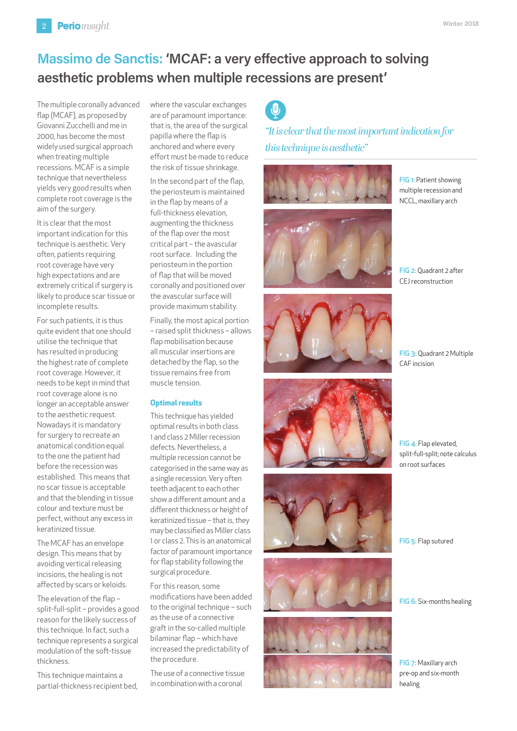## **Massimo de Sanctis: 'MCAF: a very effective approach to solving aesthetic problems when multiple recessions are present'**

The multiple coronally advanced flap (MCAF), as proposed by Giovanni Zucchelli and me in 2000, has become the most widely used surgical approach when treating multiple recessions. MCAF is a simple technique that nevertheless yields very good results when complete root coverage is the aim of the surgery.

It is clear that the most important indication for this technique is aesthetic. Very often, patients requiring root coverage have very high expectations and are extremely critical if surgery is likely to produce scar tissue or incomplete results.

For such patients, it is thus quite evident that one should utilise the technique that has resulted in producing the highest rate of complete root coverage. However, it needs to be kept in mind that root coverage alone is no longer an acceptable answer to the aesthetic request. Nowadays it is mandatory for surgery to recreate an anatomical condition equal to the one the patient had before the recession was established. This means that no scar tissue is acceptable and that the blending in tissue colour and texture must be perfect, without any excess in keratinized tissue.

The MCAF has an envelope design. This means that by avoiding vertical releasing incisions, the healing is not affected by scars or keloids.

The elevation of the flap – split-full-split – provides a good reason for the likely success of this technique. In fact, such a technique represents a surgical modulation of the soft-tissue thickness.

This technique maintains a partial-thickness recipient bed, where the vascular exchanges are of paramount importance: that is, the area of the surgical papilla where the flap is anchored and where every effort must be made to reduce the risk of tissue shrinkage.

In the second part of the flap, the periosteum is maintained in the flap by means of a full-thickness elevation, augmenting the thickness of the flap over the most critical part – the avascular root surface. Including the periosteum in the portion of flap that will be moved coronally and positioned over the avascular surface will provide maximum stability.

Finally, the most apical portion – raised split thickness – allows flap mobilisation because all muscular insertions are detached by the flap, so the tissue remains free from muscle tension.

#### **Optimal results**

This technique has yielded optimal results in both class 1 and class 2 Miller recession defects. Nevertheless, a multiple recession cannot be categorised in the same way as a single recession. Very often teeth adjacent to each other show a different amount and a different thickness or height of keratinized tissue – that is, they may be classified as Miller class 1 or class 2. This is an anatomical factor of paramount importance for flap stability following the surgical procedure.

For this reason, some modifications have been added to the original technique – such as the use of a connective graft in the so-called multiple bilaminar flap – which have increased the predictability of the procedure.

The use of a connective tissue in combination with a coronal

 $\theta$ 

*"It is clear that the most important indication for this technique is aesthetic"*



FIG 1: Patient showing multiple recession and NCCL, maxillary arch





FIG 3: Quadrant 2 Multiple CAF incision









FIG 4: Flap elevated, split-full-split; note calculus on root surfaces

FIG 5: Flap sutured

FIG 6: Six-months healing

FIG 7: Maxillary arch pre-op and six-month healing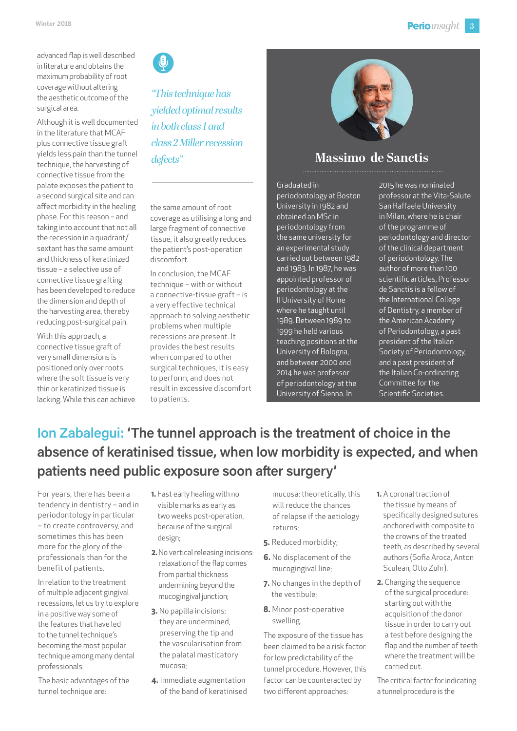advanced flap is well described in literature and obtains the maximum probability of root coverage without altering the aesthetic outcome of the surgical area.

Although it is well documented in the literature that MCAF plus connective tissue graft yields less pain than the tunnel technique, the harvesting of connective tissue from the palate exposes the patient to a second surgical site and can affect morbidity in the healing phase. For this reason – and taking into account that not all the recession in a quadrant/ sextant has the same amount and thickness of keratinized tissue – a selective use of connective tissue grafting has been developed to reduce the dimension and depth of the harvesting area, thereby reducing post-surgical pain.

With this approach, a connective tissue graft of very small dimensions is positioned only over roots where the soft tissue is very thin or keratinized tissue is lacking. While this can achieve  $\bullet$ 

*"This technique has yielded optimal results in both class 1 and class 2 Miller recession defects"*



## **Massimo de Sanctis**

the same amount of root coverage as utilising a long and large fragment of connective tissue, it also greatly reduces the patient's post-operation discomfort.

In conclusion, the MCAF technique – with or without a connective-tissue graft – is a very effective technical approach to solving aesthetic problems when multiple recessions are present. It provides the best results when compared to other surgical techniques, it is easy to perform, and does not result in excessive discomfort to patients.

Graduated in periodontology at Boston University in 1982 and obtained an MSc in periodontology from the same university for an experimental study carried out between 1982 and 1983. In 1987, he was appointed professor of periodontology at the II University of Rome where he taught until 1989. Between 1989 to 1999 he held various teaching positions at the University of Bologna, and between 2000 and 2014 he was professor of periodontology at the University of Sienna. In

2015 he was nominated professor at the Vita-Salute San Raffaele University in Milan, where he is chair of the programme of periodontology and director of the clinical department of periodontology. The author of more than 100 scientific articles, Professor de Sanctis is a fellow of the International College of Dentistry, a member of the American Academy of Periodontology, a past president of the Italian Society of Periodontology, and a past president of the Italian Co-ordinating Committee for the Scientific Societies.

## **Ion Zabalegui: 'The tunnel approach is the treatment of choice in the absence of keratinised tissue, when low morbidity is expected, and when patients need public exposure soon after surgery'**

For years, there has been a tendency in dentistry – and in periodontology in particular – to create controversy, and sometimes this has been more for the glory of the professionals than for the benefit of patients.

In relation to the treatment of multiple adjacent gingival recessions, let us try to explore in a positive way some of the features that have led to the tunnel technique's becoming the most popular technique among many dental professionals.

The basic advantages of the tunnel technique are:

- **1.** Fast early healing with no visible marks as early as two weeks post-operation, because of the surgical design;
- **2.**No vertical releasing incisions: relaxation of the flap comes from partial thickness undermining beyond the mucogingival junction;
- **3.** No papilla incisions: they are undermined, preserving the tip and the vascularisation from the palatal masticatory mucosa;
- **4.** Immediate augmentation of the band of keratinised

mucosa: theoretically, this will reduce the chances of relapse if the aetiology returns;

- **5.** Reduced morbidity;
- **6.** No displacement of the mucogingival line;
- **7.** No changes in the depth of the vestibule;
- **8.** Minor post-operative swelling.

The exposure of the tissue has been claimed to be a risk factor for low predictability of the tunnel procedure. However, this factor can be counteracted by two different approaches:

- **1.** A coronal traction of the tissue by means of specifically designed sutures anchored with composite to the crowns of the treated teeth, as described by several authors (Sofia Aroca, Anton Sculean, Otto Zuhr).
- **2.** Changing the sequence of the surgical procedure: starting out with the acquisition of the donor tissue in order to carry out a test before designing the flap and the number of teeth where the treatment will be carried out.

The critical factor for indicating a tunnel procedure is the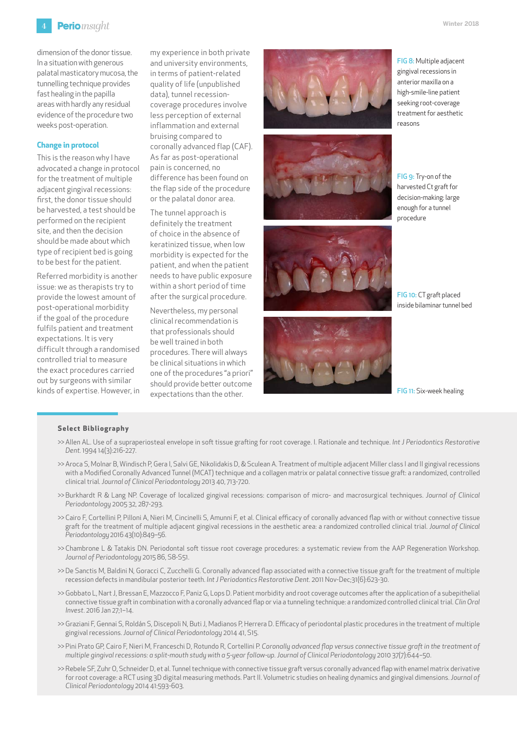

dimension of the donor tissue. In a situation with generous palatal masticatory mucosa, the tunnelling technique provides fast healing in the papilla areas with hardly any residual evidence of the procedure two weeks post-operation.

#### **Change in protocol**

This is the reason why I have advocated a change in protocol for the treatment of multiple adjacent gingival recessions: first, the donor tissue should be harvested, a test should be performed on the recipient site, and then the decision should be made about which type of recipient bed is going to be best for the patient.

Referred morbidity is another issue: we as therapists try to provide the lowest amount of post-operational morbidity if the goal of the procedure fulfils patient and treatment expectations. It is very difficult through a randomised controlled trial to measure the exact procedures carried out by surgeons with similar kinds of expertise. However, in my experience in both private and university environments, in terms of patient-related quality of life (unpublished data), tunnel recessioncoverage procedures involve less perception of external inflammation and external bruising compared to coronally advanced flap (CAF). As far as post-operational pain is concerned, no difference has been found on the flap side of the procedure or the palatal donor area.

The tunnel approach is definitely the treatment of choice in the absence of keratinized tissue, when low morbidity is expected for the patient, and when the patient needs to have public exposure within a short period of time after the surgical procedure.

Nevertheless, my personal clinical recommendation is that professionals should be well trained in both procedures. There will always be clinical situations in which one of the procedures "a priori" should provide better outcome expectations than the other.









FIG 8: Multiple adjacent gingival recessions in anterior maxilla on a high-smile-line patient seeking root-coverage treatment for aesthetic reasons

FIG 9: Try-on of the harvested Ct graft for decision-making: large enough for a tunnel procedure

FIG 10: CT graft placed inside bilaminar tunnel bed

#### FIG 11: Six-week healing

#### **Select Bibliography**

- >> Allen AL. Use of a supraperiosteal envelope in soft tissue grafting for root coverage. I. Rationale and technique. *Int J Periodontics Restorative Dent.* 1994 14(3):216-227.
- >> Aroca S, Molnar B, Windisch P, Gera I, Salvi GE, Nikolidakis D, & Sculean A. Treatment of multiple adjacent Miller class I and II gingival recessions with a Modified Coronally Advanced Tunnel (MCAT) technique and a collagen matrix or palatal connective tissue graft: a randomized, controlled clinical trial*. Journal of Clinical Periodontology* 2013 40, 713-720.
- >> Burkhardt R & Lang NP. Coverage of localized gingival recessions: comparison of micro- and macrosurgical techniques. *Journal of Clinical Periodontology* 2005 32, 287-293.
- >>Cairo F, Cortellini P, Pilloni A, Nieri M, Cincinelli S, Amunni F, et al. Clinical efficacy of coronally advanced flap with or without connective tissue graft for the treatment of multiple adjacent gingival recessions in the aesthetic area: a randomized controlled clinical trial. *Journal of Clinical Periodontology* 2016 43(10):849–56.
- >> Chambrone L & Tatakis DN. Periodontal soft tissue root coverage procedures: a systematic review from the AAP Regeneration Workshop*. Journal of Periodontology* 2015 86, S8-S51.
- >>De Sanctis M, Baldini N, Goracci C, Zucchelli G. Coronally advanced flap associated with a connective tissue graft for the treatment of multiple recession defects in mandibular posterior teeth. *Int J Periodontics Restorative Dent.* 2011 Nov-Dec;31(6):623-30.
- >>Gobbato L, Nart J, Bressan E, Mazzocco F, Paniz G, Lops D. Patient morbidity and root coverage outcomes after the application of a subepithelial connective tissue graft in combination with a coronally advanced flap or via a tunneling technique: a randomized controlled clinical trial. *Clin Oral Invest*. 2016 Jan 27;1–14.
- >>Graziani F, Gennai S, Roldán S, Discepoli N, Buti J, Madianos P, Herrera D. Efficacy of periodontal plastic procedures in the treatment of multiple gingival recessions. *Journal of Clinical Periodontology* 2014 41, S15.
- >> Pini Prato GP, Cairo F, Nieri M, Franceschi D, Rotundo R, Cortellini P. *Coronally advanced flap versus connective tissue graft in the treatment of multiple gingival recessions: a split-mouth study with a 5-year follow-up. Journal of Clinical Periodontology* 2010 37(7):644–50.
- >> Rebele SF, Zuhr O, Schneider D, et al. Tunnel technique with connective tissue graft versus coronally advanced flap with enamel matrix derivative for root coverage: a RCT using 3D digital measuring methods. Part II. Volumetric studies on healing dynamics and gingival dimensions. *Journal of Clinical Periodontology* 2014 41:593-603.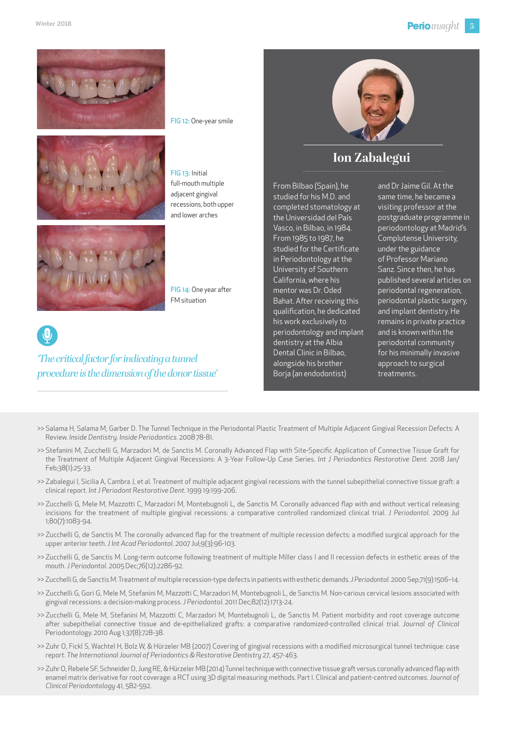

FIG 12: One-year smile





FIG 13: Initial full-mouth multiple adjacent gingival recessions, both upper and lower arches





### *'The critical factor for indicating a tunnel procedure is the dimension of the donor tissue'*



## **Ion Zabalegui**

From Bilbao (Spain), he studied for his M.D. and completed stomatology at the Universidad del País Vasco, in Bilbao, in 1984. From 1985 to 1987, he studied for the Certificate in Periodontology at the University of Southern California, where his mentor was Dr. Oded Bahat. After receiving this qualification, he dedicated his work exclusively to periodontology and implant dentistry at the Albia Dental Clinic in Bilbao, alongside his brother Borja (an endodontist)

and Dr Jaime Gil. At the same time, he became a visiting professor at the postgraduate programme in periodontology at Madrid's Complutense University, under the guidance of Professor Mariano Sanz. Since then, he has published several articles on periodontal regeneration, periodontal plastic surgery, and implant dentistry. He remains in private practice and is known within the periodontal community for his minimally invasive approach to surgical treatments.

- >> Salama H, Salama M, Garber D. The Tunnel Technique in the Periodontal Plastic Treatment of Multiple Adjacent Gingival Recession Defects: A Review. *Inside Dentistry. Inside Periodontics*. 2008 78-81.
- >> Stefanini M, Zucchelli G, Marzadori M, de Sanctis M. Coronally Advanced Flap with Site-Specific Application of Connective Tissue Graft for the Treatment of Multiple Adjacent Gingival Recessions: A 3-Year Follow-Up Case Series. *Int J Periodontics Restorative Dent.* 2018 Jan/ Feb;38(1):25-33.
- >> Zabalegui I, Sicilia A, Cambra J, et al. Treatment of multiple adjacent gingival recessions with the tunnel subepithelial connective tissue graft: a clinical report. *Int J Periodont Restorative Dent.* 1999 19:199-206.
- >> Zucchelli G, Mele M, Mazzotti C, Marzadori M, Montebugnoli L, de Sanctis M. Coronally advanced flap with and without vertical releasing incisions for the treatment of multiple gingival recessions: a comparative controlled randomized clinical trial. *J Periodontol.* 2009 Jul 1;80(7):1083-94.
- >> Zucchelli G, de Sanctis M. The coronally advanced flap for the treatment of multiple recession defects: a modified surgical approach for the upper anterior teeth. *J Int Acad Periodontol.* 2007 Jul;9(3):96-103.
- >> Zucchelli G, de Sanctis M. Long-term outcome following treatment of multiple Miller class I and II recession defects in esthetic areas of the mouth. *J Periodontol.* 2005 Dec;76(12):2286-92.
- >> Zucchelli G, de Sanctis M. Treatment of multiple recession-type defects in patients with esthetic demands*. J Periodontol.* 2000 Sep;71(9):1506–14.
- >> Zucchelli G, Gori G, Mele M, Stefanini M, Mazzotti C, Marzadori M, Montebugnoli L, de Sanctis M. Non-carious cervical lesions associated with gingival recessions: a decision-making process. *J Periodontol.* 2011 Dec;82(12):1713-24.
- >> Zucchelli G, Mele M, Stefanini M, Mazzotti C, Marzadori M, Montebugnoli L, de Sanctis M. Patient morbidity and root coverage outcome after subepithelial connective tissue and de-epithelialized grafts: a comparative randomized-controlled clinical trial. *Journal of Clinical*  Periodontology. 2010 Aug 1;37(8):728-38.
- >> Zuhr O, Fickl S, Wachtel H, Bolz W, & Hürzeler MB (2007) Covering of gingival recessions with a modified microsurgical tunnel technique: case report. *The International Journal of Periodontics & Restorative Dentistry* 27, 457-463.
- >> Zuhr O, Rebele SF, Schneider D, Jung RE, & Hürzeler MB (2014) Tunnel technique with connective tissue graft versus coronally advanced flap with enamel matrix derivative for root coverage: a RCT using 3D digital measuring methods. Part I. Clinical and patient-centred outcome*s. Journal of Clinical Periodontology* 41, 582-592.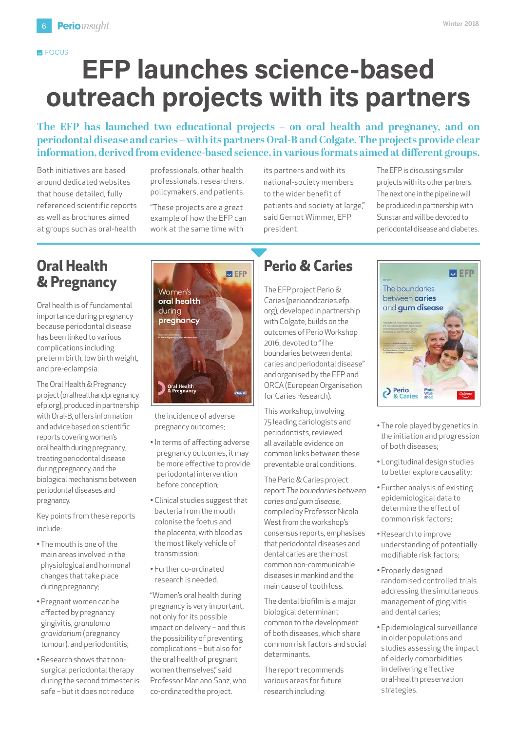## **EFP launches science-based outreach projects with its partners E** FOCUS

**The EFP has launched two educational projects – on oral health and pregnancy, and on periodontal disease and caries – with its partners Oral-B and Colgate. The projects provide clear information, derived from evidence-based science, in various formats aimed at different groups.** 

Both initiatives are based around dedicated websites that house detailed, fully referenced scientific reports as well as brochures aimed at groups such as oral-health

professionals, other health professionals, researchers, policymakers, and patients.

"These projects are a great example of how the EFP can work at the same time with

its partners and with its national-society members to the wider benefit of patients and society at large," said Gernot Wimmer, EFP president.

The EFP is discussing similar projects with its other partners. The next one in the pipeline will be produced in partnership with Sunstar and will be devoted to periodontal disease and diabetes.

## **Oral Health & Pregnancy**

Oral health is of fundamental importance during pregnancy because periodontal disease has been linked to various complications including preterm birth, low birth weight, and pre-eclampsia.

The Oral Health & Pregnancy project [\(oralhealthandpregnancy.](file:oralhealthandpregnancy.efp.org) [efp.org](file:oralhealthandpregnancy.efp.org)), produced in partnership with Oral-B, offers information and advice based on scientific reports covering women's oral health during pregnancy, treating periodontal disease during pregnancy, and the biological mechanisms between periodontal diseases and pregnancy.

Key points from these reports include:

- The mouth is one of the main areas involved in the physiological and hormonal changes that take place during pregnancy;
- Pregnant women can be affected by pregnancy gingivitis, *granuloma gravidarium* (pregnancy tumour), and periodontitis;
- Research shows that nonsurgical periodontal therapy during the second trimester is safe – but it does not reduce



the incidence of adverse pregnancy outcomes;

- In terms of affecting adverse pregnancy outcomes, it may be more effective to provide periodontal intervention before conception;
- Clinical studies suggest that bacteria from the mouth colonise the foetus and the placenta, with blood as the most likely vehicle of transmission;
- Further co-ordinated research is needed.

"Women's oral health during pregnancy is very important, not only for its possible impact on delivery – and thus the possibility of preventing complications – but also for the oral health of pregnant women themselves," said Professor Mariano Sanz, who co-ordinated the project.

## **Perio & Caries**

The EFP project Perio & Caries [\(perioandcaries.efp.](file:perioandcaries.efp.org) [org\)](file:perioandcaries.efp.org), developed in partnership with Colgate, builds on the outcomes of Perio Workshop 2016, devoted to "The boundaries between dental caries and periodontal disease" and organised by the EFP and ORCA (European Organisation for Caries Research).

This workshop, involving 75 leading cariologists and periodontists, reviewed all available evidence on common links between these preventable oral conditions.

The Perio & Caries project report *The boundaries between caries and gum disease,* compiled by Professor Nicola West from the workshop's consensus reports, emphasises that periodontal diseases and dental caries are the most common non-communicable diseases in mankind and the main cause of tooth loss.

The dental biofilm is a major biological determinant common to the development of both diseases, which share common risk factors and social determinants.

The report recommends various areas for future research including:



- The role played by genetics in the initiation and progression of both diseases;
- Longitudinal design studies to better explore causality;
- Further analysis of existing epidemiological data to determine the effect of common risk factors;
- Research to improve understanding of potentially modifiable risk factors;
- Properly designed randomised controlled trials addressing the simultaneous management of gingivitis and dental caries;
- Epidemiological surveillance in older populations and studies assessing the impact of elderly comorbidities in delivering effective oral-health preservation strategies.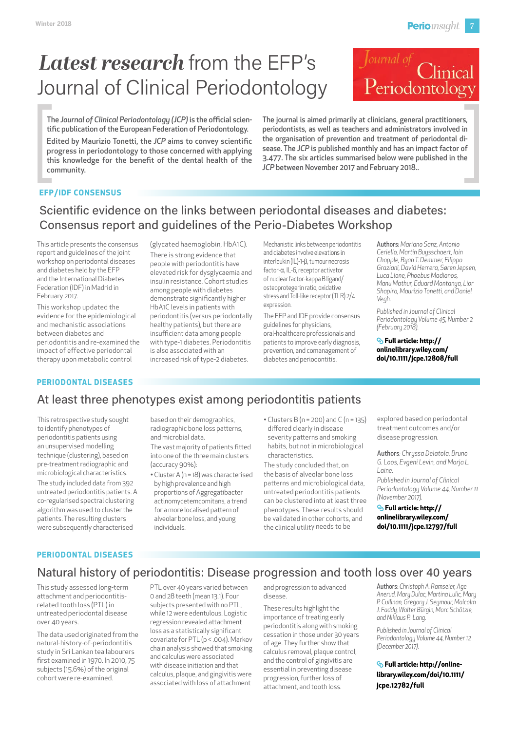# *Latest research* from the EFP's Journal of Clinical Periodontology



The *Journal of Clinical Periodontology (JCP)* is the official scientific publication of the European Federation of Periodontology. Edited by Maurizio Tonetti, the *JCP* aims to convey scientific progress in periodontology to those concerned with applying this knowledge for the benefit of the dental health of the community.

The journal is aimed primarily at clinicians, general practitioners, periodontists, as well as teachers and administrators involved in the organisation of prevention and treatment of periodontal disease. The *JCP* is published monthly and has an impact factor of 3.477. The six articles summarised below were published in the *JCP* between November 2017 and February 2018..

#### **EFP/IDF CONSENSUS**

## Scientific evidence on the links between periodontal diseases and diabetes: Consensus report and guidelines of the Perio-Diabetes Workshop

This article presents the consensus report and guidelines of the joint workshop on periodontal diseases and diabetes held by the EFP and the International Diabetes Federation (IDF) in Madrid in February 2017.

This workshop updated the evidence for the epidemiological and mechanistic associations between diabetes and periodontitis and re-examined the impact of effective periodontal therapy upon metabolic control

(glycated haemoglobin, HbA1C). There is strong evidence that people with periodontitis have elevated risk for dysglycaemia and insulin resistance. Cohort studies among people with diabetes demonstrate significantly higher HbA1C levels in patients with periodontitis (versus periodontally healthy patients), but there are insufficient data among people with type-1 diabetes. Periodontitis is also associated with an increased risk of type-2 diabetes.

Mechanistic links between periodontitis and diabetes involve elevations in interleukin (IL)-1-β, tumour necrosis factor-α, IL-6, receptor activator of nuclear factor-kappa B ligand/ osteoprotegerin ratio, oxidative stress and Toll-like receptor (TLR) 2/4 expression.

The EFP and IDF provide consensus guidelines for physicians, oral-healthcare professionals and patients to improve early diagnosis, prevention, and comanagement of diabetes and periodontitis.

Authors: *Mariano Sanz, Antonio Ceriello, Martin Buysschaert, Iain Chapple, Ryan T. Demmer, Filippo Graziani, David Herrera, Søren Jepsen, Luca Lione, Phoebus Madianos, Manu Mathur, Eduard Montanya, Lior Shapira, Maurizio Tonetti, and Daniel Vegh.*

*Published in Journal of Clinical Periodontology Volume 45, Number 2 (February 2018).*

#### **Full article: [http://](http://onlinelibrary.wiley.com/doi/10.1111/jcpe.12808/full) [onlinelibrary.wiley.com/](http://onlinelibrary.wiley.com/doi/10.1111/jcpe.12808/full) [doi/10.1111/jcpe.12808/full](http://onlinelibrary.wiley.com/doi/10.1111/jcpe.12808/full)**

#### **PERIODONTAL DISEASES**

## [At least three phenotypes exist among periodontitis patients](http://onlinelibrary.wiley.com/doi/10.1111/jcpe.12797/full)

This retrospective study sought to identify phenotypes of periodontitis patients using an unsupervised modelling technique (clustering), based on pre-treatment radiographic and microbiological characteristics. The study included data from 392 untreated periodontitis patients. A co-regularised spectral clustering algorithm was used to cluster the patients. The resulting clusters were subsequently characterised

based on their demographics, radiographic bone loss patterns, and microbial data.

The vast majority of patients fitted into one of the three main clusters (accuracy 90%):

- Cluster A (n = 18) was characterised by high prevalence and high proportions of Aggregatibacter actinomycetemcomitans, a trend for a more localised pattern of alveolar bone loss, and young individuals.
- Clusters B (n = 200) and C (n = 135) differed clearly in disease severity patterns and smoking habits, but not in microbiological characteristics.

The study concluded that, on the basis of alveolar bone loss patterns and microbiological data, untreated periodontitis patients can be clustered into at least three phenotypes. These results should be validated in other cohorts, and the clinical utility needs to be

explored based on periodontal treatment outcomes and/or disease progression.

Authors*: Chryssa Delatola, Bruno G. Loos, Evgeni Levin, and Marja L. Laine.*

*Published in Journal of Clinical Periodontology Volume 44, Number 11 (November 2017).*

**Full article: [http://](http://onlinelibrary.wiley.com/doi/10.1111/jcpe.12797/full) [onlinelibrary.wiley.com/](http://onlinelibrary.wiley.com/doi/10.1111/jcpe.12797/full) [doi/10.1111/jcpe.12797/full](http://onlinelibrary.wiley.com/doi/10.1111/jcpe.12797/full)**

#### **PERIODONTAL DISEASES**

### Natural history of periodontitis: Disease progression and tooth loss over 40 years

This study assessed long-term attachment and periodontitisrelated tooth loss (PTL) in untreated periodontal disease over 40 years.

The data used originated from the natural-history-of-periodontitis study in Sri Lankan tea labourers first examined in 1970. In 2010, 75 subjects (15.6%) of the original cohort were re-examined.

PTL over 40 years varied between 0 and 28 teeth (mean 13.1). Four subjects presented with no PTL, while 12 were edentulous. Logistic regression revealed attachment loss as a statistically significant covariate for PTL (p < .004). Markov chain analysis showed that smoking and calculus were associated with disease initiation and that calculus, plaque, and gingivitis were associated with loss of attachment

and progression to advanced disease.

These results highlight the importance of treating early periodontitis along with smoking cessation in those under 30 years of age. They further show that calculus removal, plaque control, and the control of gingivitis are essential in preventing disease progression, further loss of attachment, and tooth loss.

Authors: *Christoph A. Ramseier, Age Anerud, Mary Dulac, Martina Lulic, Mary P. Cullinan, Gregory J. Seymour, Malcolm J. Faddy, Walter Bürgin, Marc Schätzle, and Niklaus P. Lang.*

*Published in Journal of Clinical Periodontology Volume 44, Number 12 (December 2017).*

**Full article: [http://online](http://onlinelibrary.wiley.com/doi/10.1111/jcpe.12782/full)[library.wiley.com/doi/10.1111/](http://onlinelibrary.wiley.com/doi/10.1111/jcpe.12782/full) [jcpe.12782/full](http://onlinelibrary.wiley.com/doi/10.1111/jcpe.12782/full)**